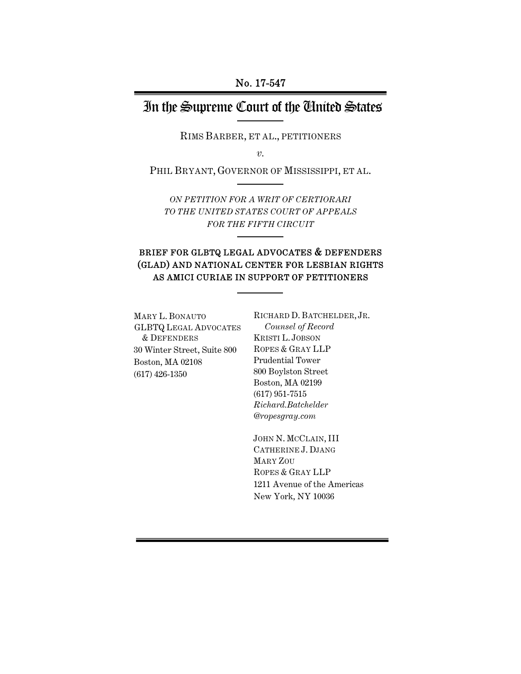## In the Supreme Court of the United States

RIMS BARBER, ET AL., PETITIONERS

*v.* 

PHIL BRYANT, GOVERNOR OF MISSISSIPPI, ET AL.

*ON PETITION FOR A WRIT OF CERTIORARI TO THE UNITED STATES COURT OF APPEALS FOR THE FIFTH CIRCUIT*

## BRIEF FOR GLBTQ LEGAL ADVOCATES & DEFENDERS (GLAD) AND NATIONAL CENTER FOR LESBIAN RIGHTS AS AMICI CURIAE IN SUPPORT OF PETITIONERS

MARY L. BONAUTO GLBTQ LEGAL ADVOCATES & DEFENDERS 30 Winter Street, Suite 800 Boston, MA 02108 (617) 426-1350

RICHARD D. BATCHELDER, JR. *Counsel of Record*  KRISTI L. JOBSON ROPES & GRAY LLP Prudential Tower 800 Boylston Street Boston, MA 02199 (617) 951-7515 *Richard.Batchelder @ropesgray.com*

JOHN N. MCCLAIN, III CATHERINE J. DJANG MARY ZOU ROPES & GRAY LLP 1211 Avenue of the Americas New York, NY 10036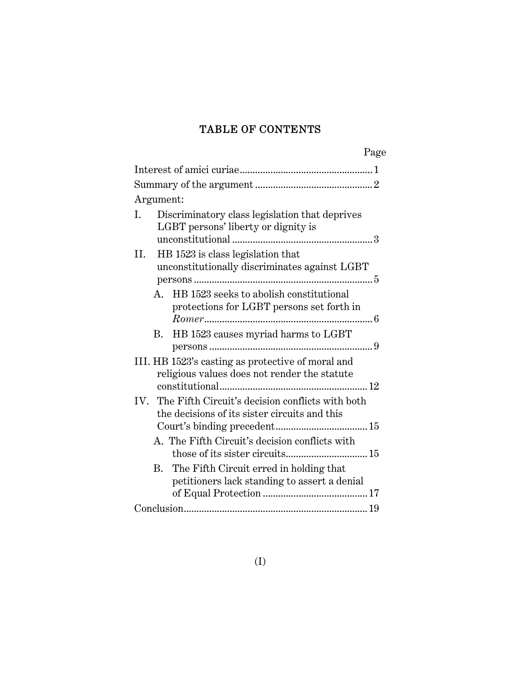## TABLE OF CONTENTS

| Page                                                                                                  |
|-------------------------------------------------------------------------------------------------------|
|                                                                                                       |
|                                                                                                       |
| Argument:                                                                                             |
| Discriminatory class legislation that deprives<br>Ι.<br>LGBT persons' liberty or dignity is           |
| HB 1523 is class legislation that<br>II.<br>unconstitutionally discriminates against LGBT             |
| A. HB 1523 seeks to abolish constitutional<br>protections for LGBT persons set forth in               |
| B. HB 1523 causes myriad harms to LGBT<br>persons                                                     |
| III. HB 1523's casting as protective of moral and<br>religious values does not render the statute     |
| IV. The Fifth Circuit's decision conflicts with both<br>the decisions of its sister circuits and this |
| A. The Fifth Circuit's decision conflicts with                                                        |
| $\rm{B}$ .<br>The Fifth Circuit erred in holding that<br>petitioners lack standing to assert a denial |
|                                                                                                       |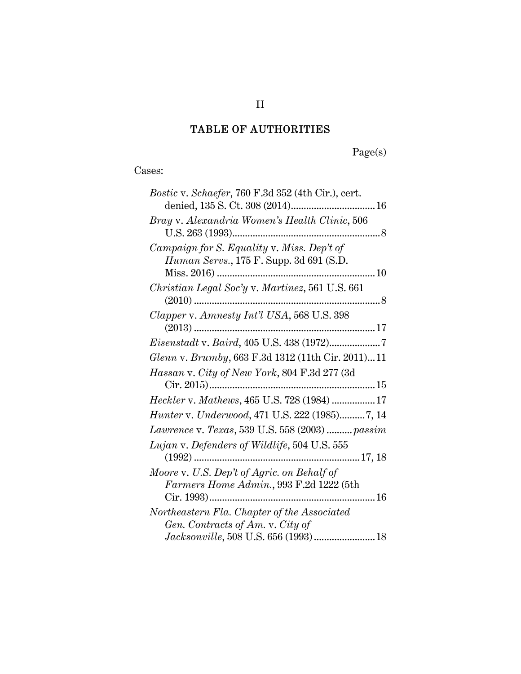## TABLE OF AUTHORITIES

Page(s)

Cases:

| Bostic v. Schaefer, 760 F.3d 352 (4th Cir.), cert.                                            |
|-----------------------------------------------------------------------------------------------|
| Bray v. Alexandria Women's Health Clinic, 506                                                 |
| Campaign for S. Equality v. Miss. Dep't of<br><i>Human Servs.</i> , 175 F. Supp. 3d 691 (S.D. |
| Christian Legal Soc'y v. Martinez, 561 U.S. 661                                               |
| Clapper v. Amnesty Int'l USA, 568 U.S. 398                                                    |
| Eisenstadt v. Baird, 405 U.S. 438 (1972)7                                                     |
| Glenn v. Brumby, 663 F.3d 1312 (11th Cir. 2011)11                                             |
| Hassan v. City of New York, 804 F.3d 277 (3d                                                  |
| Heckler v. Mathews, 465 U.S. 728 (1984) 17                                                    |
| Hunter v. Underwood, 471 U.S. 222 (1985)7, 14                                                 |
| Lawrence v. Texas, 539 U.S. 558 (2003)  passim                                                |
| Lujan v. Defenders of Wildlife, 504 U.S. 555                                                  |
| Moore v. U.S. Dep't of Agric. on Behalf of<br>Farmers Home Admin., 993 F.2d 1222 (5th         |
|                                                                                               |
| Northeastern Fla. Chapter of the Associated<br>Gen. Contracts of Am. v. City of               |
| Jacksonville, 508 U.S. 656 (1993)  18                                                         |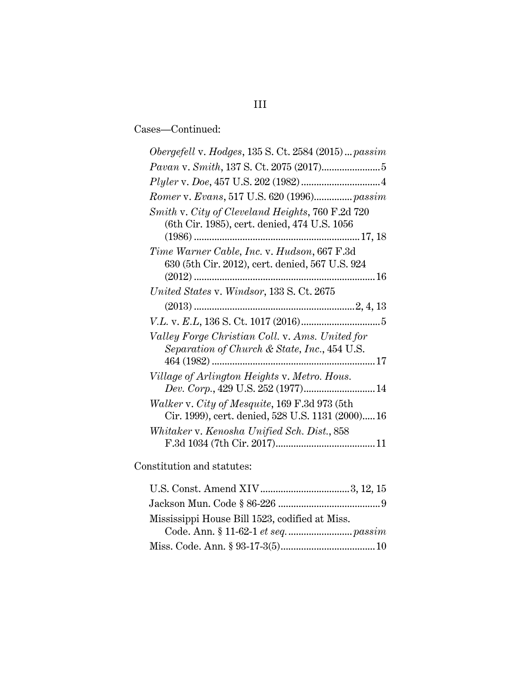# III

Cases—Continued:

| Obergefell v. Hodges, 135 S. Ct. 2584 (2015)  passim                               |
|------------------------------------------------------------------------------------|
|                                                                                    |
|                                                                                    |
| Romer v. Evans, 517 U.S. 620 (1996) passim                                         |
| Smith v. City of Cleveland Heights, 760 F.2d 720                                   |
| (6th Cir. 1985), cert. denied, 474 U.S. 1056                                       |
|                                                                                    |
| Time Warner Cable, Inc. v. Hudson, 667 F.3d                                        |
| 630 (5th Cir. 2012), cert. denied, 567 U.S. 924                                    |
|                                                                                    |
| United States v. Windsor, 133 S. Ct. 2675                                          |
|                                                                                    |
|                                                                                    |
|                                                                                    |
| Valley Forge Christian Coll. v. Ams. United for                                    |
| Separation of Church & State, Inc., 454 U.S.                                       |
|                                                                                    |
|                                                                                    |
| Village of Arlington Heights v. Metro. Hous.<br>Dev. Corp., 429 U.S. 252 (1977) 14 |
| Walker v. City of Mesquite, 169 F.3d 973 (5th                                      |
| Cir. 1999), cert. denied, 528 U.S. 1131 (2000) 16                                  |
| Whitaker v. Kenosha Unified Sch. Dist., 858                                        |

Constitution and statutes:

| Mississippi House Bill 1523, codified at Miss. |
|------------------------------------------------|
|                                                |
|                                                |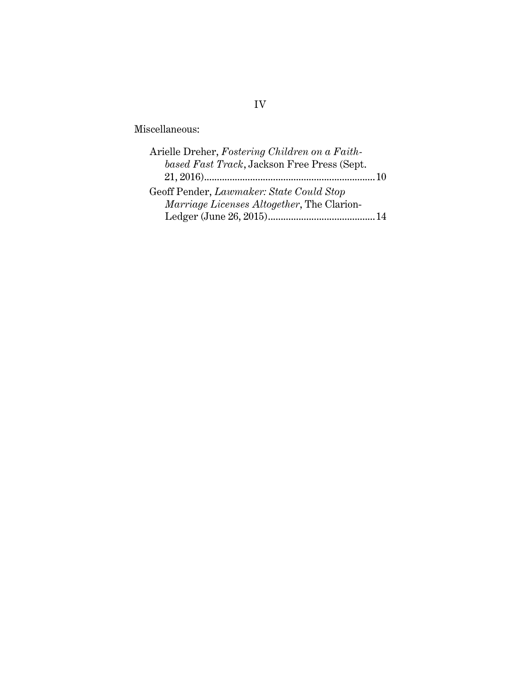#### Miscellaneous:

| Arielle Dreher, Fostering Children on a Faith-     |  |
|----------------------------------------------------|--|
| based Fast Track, Jackson Free Press (Sept.        |  |
|                                                    |  |
| Geoff Pender, Lawmaker: State Could Stop           |  |
| <i>Marriage Licenses Altogether</i> , The Clarion- |  |
|                                                    |  |

## IV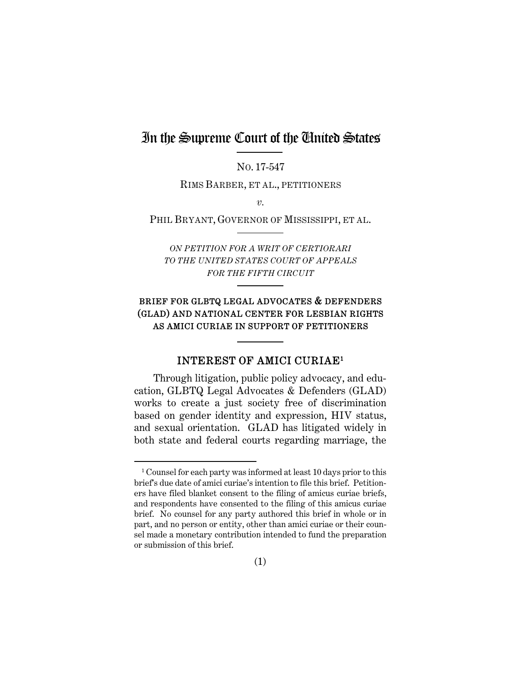## In the Supreme Court of the United States

NO. 17-547

RIMS BARBER, ET AL., PETITIONERS

*v.* 

PHIL BRYANT, GOVERNOR OF MISSISSIPPI, ET AL.

*ON PETITION FOR A WRIT OF CERTIORARI TO THE UNITED STATES COURT OF APPEALS FOR THE FIFTH CIRCUIT*

### BRIEF FOR GLBTQ LEGAL ADVOCATES & DEFENDERS (GLAD) AND NATIONAL CENTER FOR LESBIAN RIGHTS AS AMICI CURIAE IN SUPPORT OF PETITIONERS

#### INTEREST OF AMICI CURIAE1

Through litigation, public policy advocacy, and education, GLBTQ Legal Advocates & Defenders (GLAD) works to create a just society free of discrimination based on gender identity and expression, HIV status, and sexual orientation. GLAD has litigated widely in both state and federal courts regarding marriage, the

<sup>&</sup>lt;sup>1</sup> Counsel for each party was informed at least 10 days prior to this brief's due date of amici curiae's intention to file this brief. Petitioners have filed blanket consent to the filing of amicus curiae briefs, and respondents have consented to the filing of this amicus curiae brief. No counsel for any party authored this brief in whole or in part, and no person or entity, other than amici curiae or their counsel made a monetary contribution intended to fund the preparation or submission of this brief.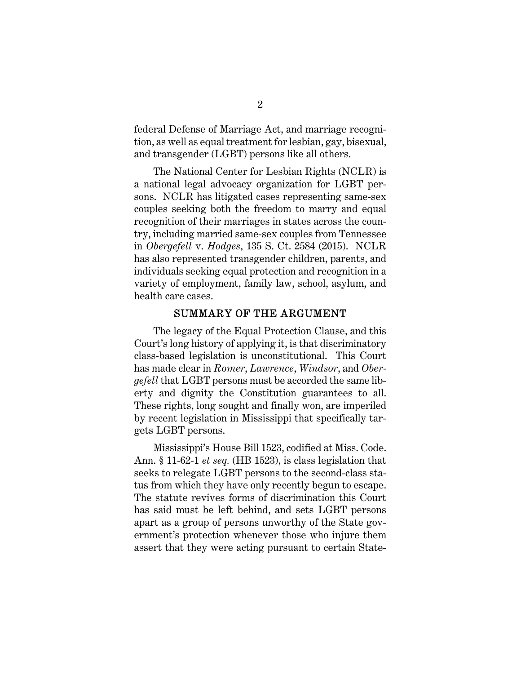federal Defense of Marriage Act, and marriage recognition, as well as equal treatment for lesbian, gay, bisexual, and transgender (LGBT) persons like all others.

The National Center for Lesbian Rights (NCLR) is a national legal advocacy organization for LGBT persons. NCLR has litigated cases representing same-sex couples seeking both the freedom to marry and equal recognition of their marriages in states across the country, including married same-sex couples from Tennessee in *Obergefell* v. *Hodges*, 135 S. Ct. 2584 (2015). NCLR has also represented transgender children, parents, and individuals seeking equal protection and recognition in a variety of employment, family law, school, asylum, and health care cases.

#### SUMMARY OF THE ARGUMENT

The legacy of the Equal Protection Clause, and this Court's long history of applying it, is that discriminatory class-based legislation is unconstitutional. This Court has made clear in *Romer*, *Lawrence*, *Windsor*, and *Obergefell* that LGBT persons must be accorded the same liberty and dignity the Constitution guarantees to all. These rights, long sought and finally won, are imperiled by recent legislation in Mississippi that specifically targets LGBT persons.

Mississippi's House Bill 1523, codified at Miss. Code. Ann. § 11-62-1 *et seq.* (HB 1523), is class legislation that seeks to relegate LGBT persons to the second-class status from which they have only recently begun to escape. The statute revives forms of discrimination this Court has said must be left behind, and sets LGBT persons apart as a group of persons unworthy of the State government's protection whenever those who injure them assert that they were acting pursuant to certain State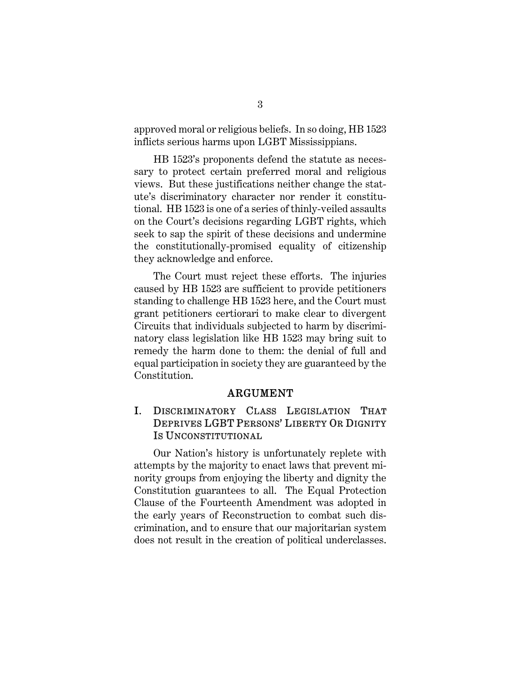approved moral or religious beliefs. In so doing, HB 1523 inflicts serious harms upon LGBT Mississippians.

HB 1523's proponents defend the statute as necessary to protect certain preferred moral and religious views. But these justifications neither change the statute's discriminatory character nor render it constitutional. HB 1523 is one of a series of thinly-veiled assaults on the Court's decisions regarding LGBT rights, which seek to sap the spirit of these decisions and undermine the constitutionally-promised equality of citizenship they acknowledge and enforce.

The Court must reject these efforts. The injuries caused by HB 1523 are sufficient to provide petitioners standing to challenge HB 1523 here, and the Court must grant petitioners certiorari to make clear to divergent Circuits that individuals subjected to harm by discriminatory class legislation like HB 1523 may bring suit to remedy the harm done to them: the denial of full and equal participation in society they are guaranteed by the Constitution.

#### ARGUMENT

## I. DISCRIMINATORY CLASS LEGISLATION THAT DEPRIVES LGBT PERSONS' LIBERTY OR DIGNITY IS UNCONSTITUTIONAL

Our Nation's history is unfortunately replete with attempts by the majority to enact laws that prevent minority groups from enjoying the liberty and dignity the Constitution guarantees to all. The Equal Protection Clause of the Fourteenth Amendment was adopted in the early years of Reconstruction to combat such discrimination, and to ensure that our majoritarian system does not result in the creation of political underclasses.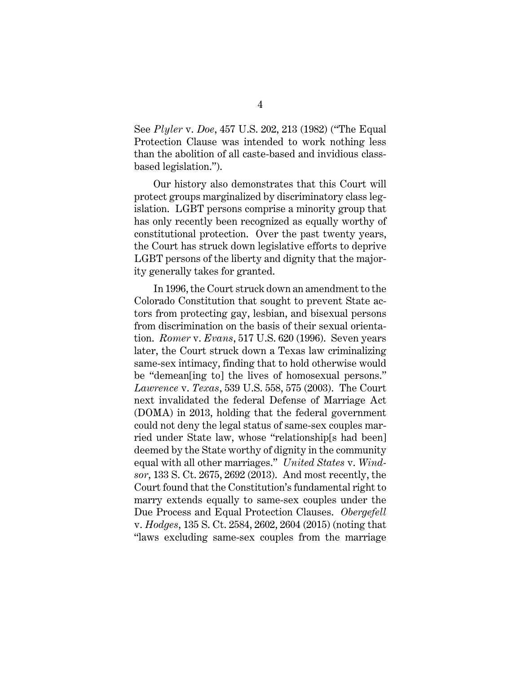See *Plyler* v. *Doe*, 457 U.S. 202, 213 (1982) ("The Equal Protection Clause was intended to work nothing less than the abolition of all caste-based and invidious classbased legislation.").

Our history also demonstrates that this Court will protect groups marginalized by discriminatory class legislation. LGBT persons comprise a minority group that has only recently been recognized as equally worthy of constitutional protection. Over the past twenty years, the Court has struck down legislative efforts to deprive LGBT persons of the liberty and dignity that the majority generally takes for granted.

In 1996, the Court struck down an amendment to the Colorado Constitution that sought to prevent State actors from protecting gay, lesbian, and bisexual persons from discrimination on the basis of their sexual orientation. *Romer* v. *Evans*, 517 U.S. 620 (1996). Seven years later, the Court struck down a Texas law criminalizing same-sex intimacy, finding that to hold otherwise would be "demean[ing to] the lives of homosexual persons." *Lawrence* v. *Texas*, 539 U.S. 558, 575 (2003). The Court next invalidated the federal Defense of Marriage Act (DOMA) in 2013, holding that the federal government could not deny the legal status of same-sex couples married under State law, whose "relationship[s had been] deemed by the State worthy of dignity in the community equal with all other marriages." *United States* v. *Windsor*, 133 S. Ct. 2675, 2692 (2013). And most recently, the Court found that the Constitution's fundamental right to marry extends equally to same-sex couples under the Due Process and Equal Protection Clauses. *Obergefell* v. *Hodges*, 135 S. Ct. 2584, 2602, 2604 (2015) (noting that "laws excluding same-sex couples from the marriage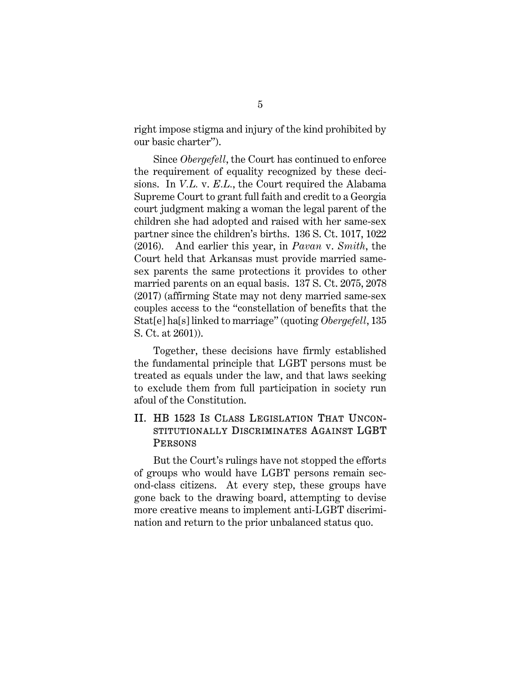right impose stigma and injury of the kind prohibited by our basic charter").

Since *Obergefell*, the Court has continued to enforce the requirement of equality recognized by these decisions. In *V.L.* v. *E.L.*, the Court required the Alabama Supreme Court to grant full faith and credit to a Georgia court judgment making a woman the legal parent of the children she had adopted and raised with her same-sex partner since the children's births. 136 S. Ct. 1017, 1022 (2016). And earlier this year, in *Pavan* v. *Smith*, the Court held that Arkansas must provide married samesex parents the same protections it provides to other married parents on an equal basis. 137 S. Ct. 2075, 2078 (2017) (affirming State may not deny married same-sex couples access to the "constellation of benefits that the Stat[e] ha[s] linked to marriage" (quoting *Obergefell*, 135 S. Ct. at 2601)).

Together, these decisions have firmly established the fundamental principle that LGBT persons must be treated as equals under the law, and that laws seeking to exclude them from full participation in society run afoul of the Constitution.

## II. HB 1523 IS CLASS LEGISLATION THAT UNCON-STITUTIONALLY DISCRIMINATES AGAINST LGBT **PERSONS**

But the Court's rulings have not stopped the efforts of groups who would have LGBT persons remain second-class citizens. At every step, these groups have gone back to the drawing board, attempting to devise more creative means to implement anti-LGBT discrimination and return to the prior unbalanced status quo.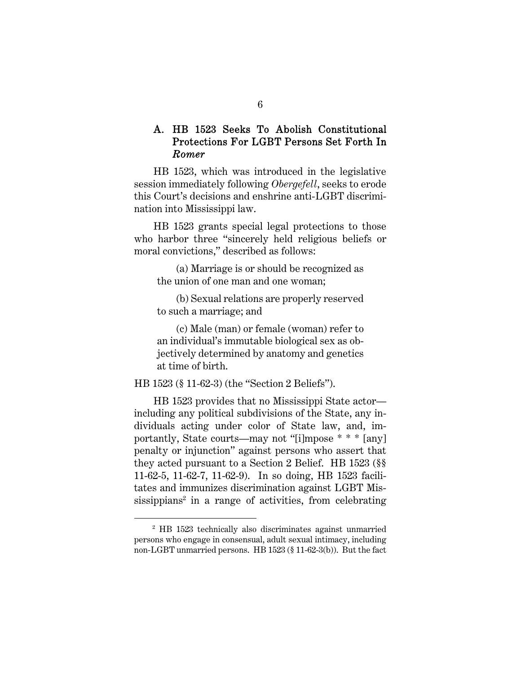## A. HB 1523 Seeks To Abolish Constitutional Protections For LGBT Persons Set Forth In *Romer*

HB 1523, which was introduced in the legislative session immediately following *Obergefell*, seeks to erode this Court's decisions and enshrine anti-LGBT discrimination into Mississippi law.

HB 1523 grants special legal protections to those who harbor three "sincerely held religious beliefs or moral convictions," described as follows:

(a) Marriage is or should be recognized as the union of one man and one woman;

(b) Sexual relations are properly reserved to such a marriage; and

(c) Male (man) or female (woman) refer to an individual's immutable biological sex as objectively determined by anatomy and genetics at time of birth.

HB 1523 (§ 11-62-3) (the "Section 2 Beliefs").

 $\overline{a}$ 

HB 1523 provides that no Mississippi State actor including any political subdivisions of the State, any individuals acting under color of State law, and, importantly, State courts—may not "[i]mpose \* \* \* [any] penalty or injunction" against persons who assert that they acted pursuant to a Section 2 Belief. HB 1523 (§§ 11-62-5, 11-62-7, 11-62-9). In so doing, HB 1523 facilitates and immunizes discrimination against LGBT Mississippians<sup>2</sup> in a range of activities, from celebrating

<sup>2</sup> HB 1523 technically also discriminates against unmarried persons who engage in consensual, adult sexual intimacy, including non-LGBT unmarried persons. HB 1523 (§ 11-62-3(b)). But the fact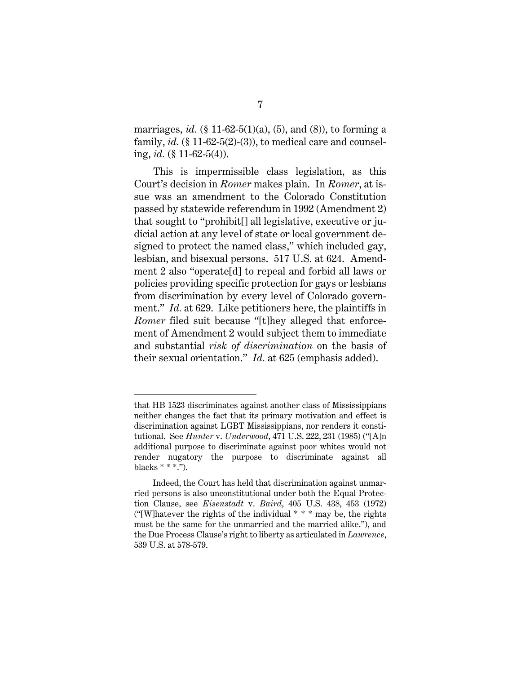marriages, *id.*  $(\S 11-62-5(1)(a), (5)$ , and  $(8)$ ), to forming a family,  $id.$  (§ 11-62-5(2)-(3)), to medical care and counseling, *id.* (§ 11-62-5(4)).

This is impermissible class legislation, as this Court's decision in *Romer* makes plain. In *Romer*, at issue was an amendment to the Colorado Constitution passed by statewide referendum in 1992 (Amendment 2) that sought to "prohibit[] all legislative, executive or judicial action at any level of state or local government designed to protect the named class," which included gay, lesbian, and bisexual persons. 517 U.S. at 624. Amendment 2 also "operate[d] to repeal and forbid all laws or policies providing specific protection for gays or lesbians from discrimination by every level of Colorado government." *Id.* at 629. Like petitioners here, the plaintiffs in *Romer* filed suit because "[t]hey alleged that enforcement of Amendment 2 would subject them to immediate and substantial *risk of discrimination* on the basis of their sexual orientation." *Id.* at 625 (emphasis added).

that HB 1523 discriminates against another class of Mississippians neither changes the fact that its primary motivation and effect is discrimination against LGBT Mississippians, nor renders it constitutional. See *Hunter* v. *Underwood*, 471 U.S. 222, 231 (1985) ("[A]n additional purpose to discriminate against poor whites would not render nugatory the purpose to discriminate against all blacks  $***$ .").

Indeed, the Court has held that discrimination against unmarried persons is also unconstitutional under both the Equal Protection Clause, see *Eisenstadt* v. *Baird*, 405 U.S. 438, 453 (1972) ("[W]hatever the rights of the individual  $***$  may be, the rights must be the same for the unmarried and the married alike."), and the Due Process Clause's right to liberty as articulated in *Lawrence*, 539 U.S. at 578-579.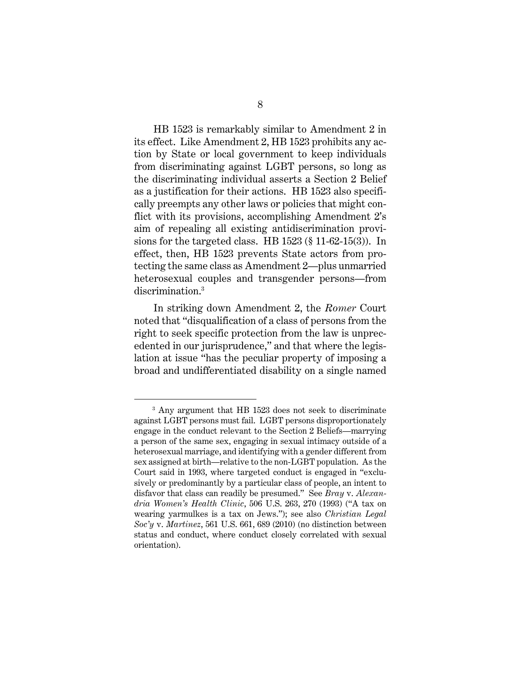HB 1523 is remarkably similar to Amendment 2 in its effect. Like Amendment 2, HB 1523 prohibits any action by State or local government to keep individuals from discriminating against LGBT persons, so long as the discriminating individual asserts a Section 2 Belief as a justification for their actions. HB 1523 also specifically preempts any other laws or policies that might conflict with its provisions, accomplishing Amendment 2's aim of repealing all existing antidiscrimination provisions for the targeted class. HB 1523 (§ 11-62-15(3)). In effect, then, HB 1523 prevents State actors from protecting the same class as Amendment 2—plus unmarried heterosexual couples and transgender persons—from discrimination.3

In striking down Amendment 2, the *Romer* Court noted that "disqualification of a class of persons from the right to seek specific protection from the law is unprecedented in our jurisprudence," and that where the legislation at issue "has the peculiar property of imposing a broad and undifferentiated disability on a single named

<sup>3</sup> Any argument that HB 1523 does not seek to discriminate against LGBT persons must fail. LGBT persons disproportionately engage in the conduct relevant to the Section 2 Beliefs—marrying a person of the same sex, engaging in sexual intimacy outside of a heterosexual marriage, and identifying with a gender different from sex assigned at birth—relative to the non-LGBT population. As the Court said in 1993, where targeted conduct is engaged in "exclusively or predominantly by a particular class of people, an intent to disfavor that class can readily be presumed." See *Bray* v. *Alexandria Women's Health Clinic*, 506 U.S. 263, 270 (1993) ("A tax on wearing yarmulkes is a tax on Jews."); see also *Christian Legal Soc'y* v. *Martinez*, 561 U.S. 661, 689 (2010) (no distinction between status and conduct, where conduct closely correlated with sexual orientation).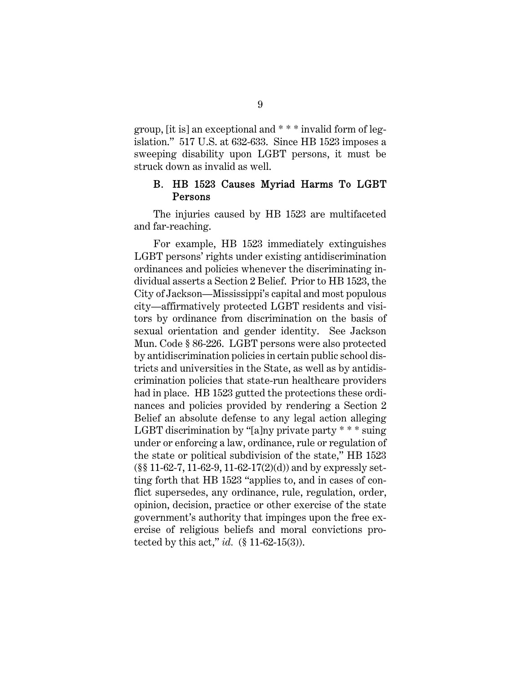group, [it is] an exceptional and \* \* \* invalid form of legislation." 517 U.S. at 632-633. Since HB 1523 imposes a sweeping disability upon LGBT persons, it must be struck down as invalid as well.

#### B. HB 1523 Causes Myriad Harms To LGBT Persons

The injuries caused by HB 1523 are multifaceted and far-reaching.

For example, HB 1523 immediately extinguishes LGBT persons' rights under existing antidiscrimination ordinances and policies whenever the discriminating individual asserts a Section 2 Belief. Prior to HB 1523, the City of Jackson—Mississippi's capital and most populous city—affirmatively protected LGBT residents and visitors by ordinance from discrimination on the basis of sexual orientation and gender identity. See Jackson Mun. Code § 86-226. LGBT persons were also protected by antidiscrimination policies in certain public school districts and universities in the State, as well as by antidiscrimination policies that state-run healthcare providers had in place. HB 1523 gutted the protections these ordinances and policies provided by rendering a Section 2 Belief an absolute defense to any legal action alleging LGBT discrimination by "[a]ny private party \* \* \* suing under or enforcing a law, ordinance, rule or regulation of the state or political subdivision of the state," HB 1523  $(\S \S 11-62-7, 11-62-9, 11-62-17(2)(d))$  and by expressly setting forth that HB 1523 "applies to, and in cases of conflict supersedes, any ordinance, rule, regulation, order, opinion, decision, practice or other exercise of the state government's authority that impinges upon the free exercise of religious beliefs and moral convictions protected by this act," *id.* (§ 11-62-15(3)).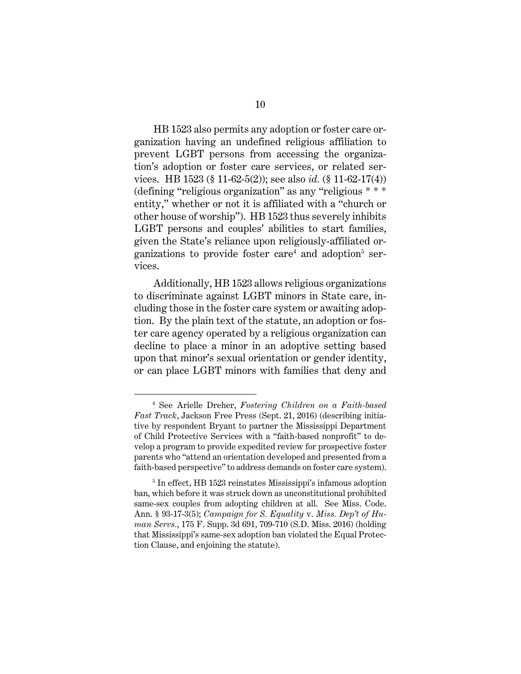HB 1523 also permits any adoption or foster care organization having an undefined religious affiliation to prevent LGBT persons from accessing the organization's adoption or foster care services, or related services. HB 1523 (§ 11-62-5(2)); see also *id.* (§ 11-62-17(4)) (defining "religious organization" as any "religious \* \* \* entity," whether or not it is affiliated with a "church or other house of worship"). HB 1523 thus severely inhibits LGBT persons and couples' abilities to start families, given the State's reliance upon religiously-affiliated organizations to provide foster care<sup>4</sup> and adoption<sup>5</sup> services.

Additionally, HB 1523 allows religious organizations to discriminate against LGBT minors in State care, including those in the foster care system or awaiting adoption. By the plain text of the statute, an adoption or foster care agency operated by a religious organization can decline to place a minor in an adoptive setting based upon that minor's sexual orientation or gender identity, or can place LGBT minors with families that deny and

<sup>4</sup> See Arielle Dreher, *Fostering Children on a Faith-based Fast Track*, Jackson Free Press (Sept. 21, 2016) (describing initiative by respondent Bryant to partner the Mississippi Department of Child Protective Services with a "faith-based nonprofit" to develop a program to provide expedited review for prospective foster parents who "attend an orientation developed and presented from a faith-based perspective" to address demands on foster care system).

<sup>5</sup> In effect, HB 1523 reinstates Mississippi's infamous adoption ban, which before it was struck down as unconstitutional prohibited same-sex couples from adopting children at all. See Miss. Code. Ann. § 93-17-3(5); *Campaign for S. Equality* v. *Miss. Dep't of Human Servs.*, 175 F. Supp. 3d 691, 709-710 (S.D. Miss. 2016) (holding that Mississippi's same-sex adoption ban violated the Equal Protection Clause, and enjoining the statute).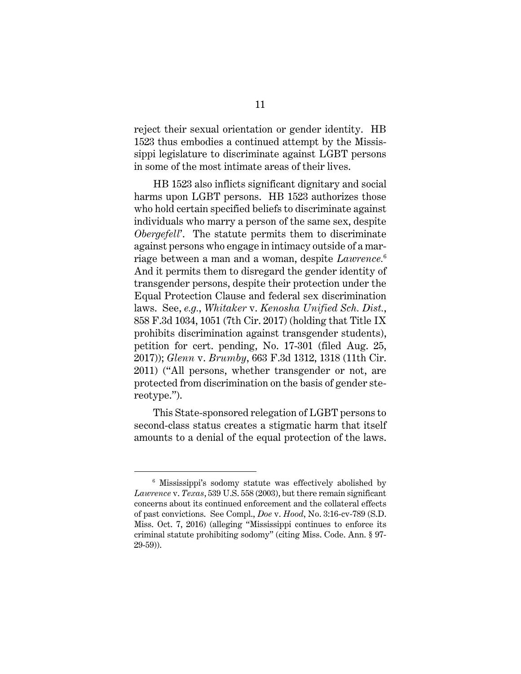reject their sexual orientation or gender identity. HB 1523 thus embodies a continued attempt by the Mississippi legislature to discriminate against LGBT persons in some of the most intimate areas of their lives.

HB 1523 also inflicts significant dignitary and social harms upon LGBT persons. HB 1523 authorizes those who hold certain specified beliefs to discriminate against individuals who marry a person of the same sex, despite *Obergefell*'. The statute permits them to discriminate against persons who engage in intimacy outside of a marriage between a man and a woman, despite *Lawrence.*<sup>6</sup> And it permits them to disregard the gender identity of transgender persons, despite their protection under the Equal Protection Clause and federal sex discrimination laws. See, *e.g.*, *Whitaker* v. *Kenosha Unified Sch. Dist.*, 858 F.3d 1034, 1051 (7th Cir. 2017) (holding that Title IX prohibits discrimination against transgender students), petition for cert. pending, No. 17-301 (filed Aug. 25, 2017)); *Glenn* v. *Brumby*, 663 F.3d 1312, 1318 (11th Cir. 2011) ("All persons, whether transgender or not, are protected from discrimination on the basis of gender stereotype.").

This State-sponsored relegation of LGBT persons to second-class status creates a stigmatic harm that itself amounts to a denial of the equal protection of the laws.

<sup>6</sup> Mississippi's sodomy statute was effectively abolished by *Lawrence* v. *Texas*, 539 U.S. 558 (2003), but there remain significant concerns about its continued enforcement and the collateral effects of past convictions. See Compl., *Doe* v. *Hood*, No. 3:16-cv-789 (S.D. Miss. Oct. 7, 2016) (alleging "Mississippi continues to enforce its criminal statute prohibiting sodomy" (citing Miss. Code. Ann. § 97- 29-59)).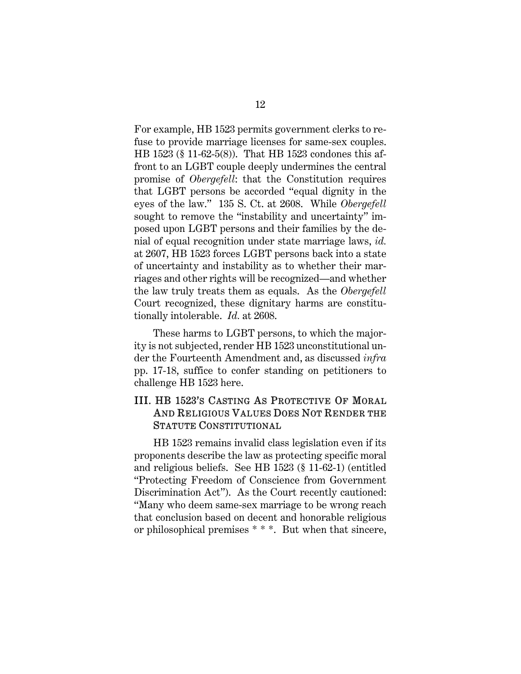For example, HB 1523 permits government clerks to refuse to provide marriage licenses for same-sex couples. HB 1523 (§ 11-62-5(8)). That HB 1523 condones this affront to an LGBT couple deeply undermines the central promise of *Obergefell*: that the Constitution requires that LGBT persons be accorded "equal dignity in the eyes of the law." 135 S. Ct. at 2608. While *Obergefell* sought to remove the "instability and uncertainty" imposed upon LGBT persons and their families by the denial of equal recognition under state marriage laws, *id.* at 2607, HB 1523 forces LGBT persons back into a state of uncertainty and instability as to whether their marriages and other rights will be recognized—and whether the law truly treats them as equals. As the *Obergefell* Court recognized, these dignitary harms are constitutionally intolerable. *Id.* at 2608.

These harms to LGBT persons, to which the majority is not subjected, render HB 1523 unconstitutional under the Fourteenth Amendment and, as discussed *infra* pp. 17-18, suffice to confer standing on petitioners to challenge HB 1523 here.

## III. HB 1523'S CASTING AS PROTECTIVE OF MORAL AND RELIGIOUS VALUES DOES NOT RENDER THE STATUTE CONSTITUTIONAL

HB 1523 remains invalid class legislation even if its proponents describe the law as protecting specific moral and religious beliefs. See HB 1523 (§ 11-62-1) (entitled "Protecting Freedom of Conscience from Government Discrimination Act"). As the Court recently cautioned: "Many who deem same-sex marriage to be wrong reach that conclusion based on decent and honorable religious or philosophical premises \* \* \*. But when that sincere,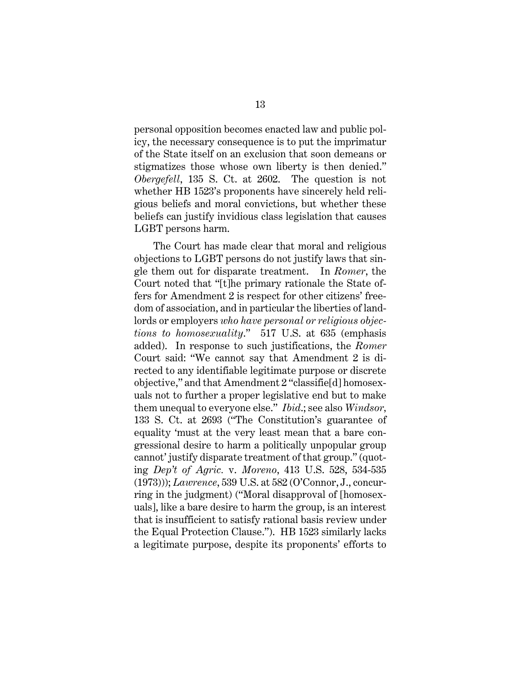personal opposition becomes enacted law and public policy, the necessary consequence is to put the imprimatur of the State itself on an exclusion that soon demeans or stigmatizes those whose own liberty is then denied." *Obergefell*, 135 S. Ct. at 2602. The question is not whether HB 1523's proponents have sincerely held religious beliefs and moral convictions, but whether these beliefs can justify invidious class legislation that causes LGBT persons harm.

The Court has made clear that moral and religious objections to LGBT persons do not justify laws that single them out for disparate treatment. In *Romer*, the Court noted that "[t]he primary rationale the State offers for Amendment 2 is respect for other citizens' freedom of association, and in particular the liberties of landlords or employers *who have personal or religious objections to homosexuality*." 517 U.S. at 635 (emphasis added). In response to such justifications, the *Romer* Court said: "We cannot say that Amendment 2 is directed to any identifiable legitimate purpose or discrete objective," and that Amendment 2 "classifie[d] homosexuals not to further a proper legislative end but to make them unequal to everyone else." *Ibid*.; see also *Windsor,*  133 S. Ct. at 2693 ("The Constitution's guarantee of equality 'must at the very least mean that a bare congressional desire to harm a politically unpopular group cannot' justify disparate treatment of that group." (quoting *Dep't of Agric.* v. *Moreno*, 413 U.S. 528, 534-535 (1973))); *Lawrence*, 539 U.S. at 582 (O'Connor, J., concurring in the judgment) ("Moral disapproval of [homosexuals], like a bare desire to harm the group, is an interest that is insufficient to satisfy rational basis review under the Equal Protection Clause."). HB 1523 similarly lacks a legitimate purpose, despite its proponents' efforts to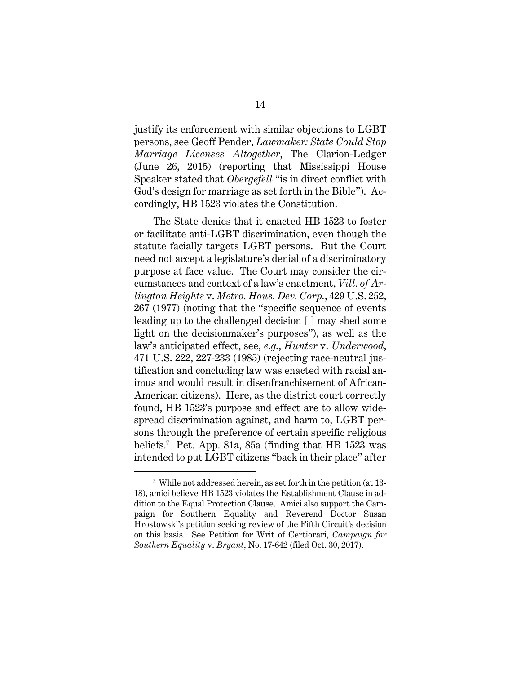justify its enforcement with similar objections to LGBT persons, see Geoff Pender, *Lawmaker: State Could Stop Marriage Licenses Altogether*, The Clarion-Ledger (June 26, 2015) (reporting that Mississippi House Speaker stated that *Obergefell* "is in direct conflict with God's design for marriage as set forth in the Bible"). Accordingly, HB 1523 violates the Constitution.

The State denies that it enacted HB 1523 to foster or facilitate anti-LGBT discrimination, even though the statute facially targets LGBT persons. But the Court need not accept a legislature's denial of a discriminatory purpose at face value. The Court may consider the circumstances and context of a law's enactment, *Vill. of Arlington Heights* v. *Metro. Hous. Dev. Corp.*, 429 U.S. 252, 267 (1977) (noting that the "specific sequence of events leading up to the challenged decision [ ] may shed some light on the decisionmaker's purposes"), as well as the law's anticipated effect, see, *e.g.*, *Hunter* v. *Underwood*, 471 U.S. 222, 227-233 (1985) (rejecting race-neutral justification and concluding law was enacted with racial animus and would result in disenfranchisement of African-American citizens). Here, as the district court correctly found, HB 1523's purpose and effect are to allow widespread discrimination against, and harm to, LGBT persons through the preference of certain specific religious beliefs.7 Pet. App. 81a, 85a (finding that HB 1523 was intended to put LGBT citizens "back in their place" after

<sup>7</sup> While not addressed herein, as set forth in the petition (at 13- 18), amici believe HB 1523 violates the Establishment Clause in addition to the Equal Protection Clause. Amici also support the Campaign for Southern Equality and Reverend Doctor Susan Hrostowski's petition seeking review of the Fifth Circuit's decision on this basis. See Petition for Writ of Certiorari, *Campaign for Southern Equality* v. *Bryant*, No. 17-642 (filed Oct. 30, 2017).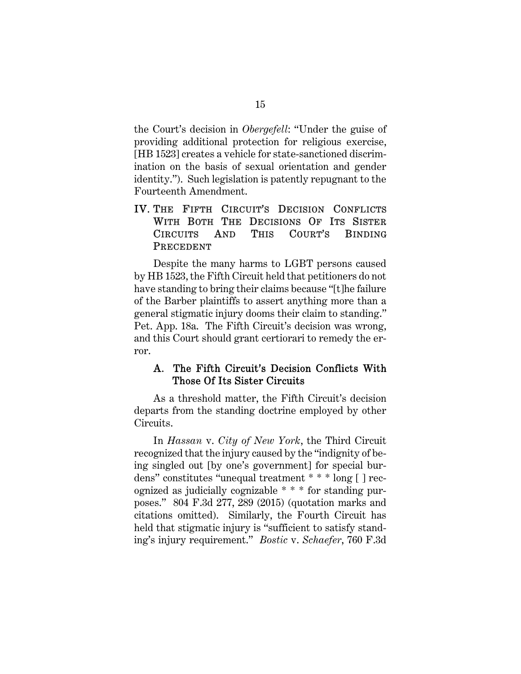the Court's decision in *Obergefell*: "Under the guise of providing additional protection for religious exercise, [HB 1523] creates a vehicle for state-sanctioned discrimination on the basis of sexual orientation and gender identity."). Such legislation is patently repugnant to the Fourteenth Amendment.

## IV. THE FIFTH CIRCUIT'S DECISION CONFLICTS WITH BOTH THE DECISIONS OF ITS SISTER CIRCUITS AND THIS COURT'S BINDING PRECEDENT

Despite the many harms to LGBT persons caused by HB 1523, the Fifth Circuit held that petitioners do not have standing to bring their claims because "[t]he failure of the Barber plaintiffs to assert anything more than a general stigmatic injury dooms their claim to standing." Pet. App. 18a. The Fifth Circuit's decision was wrong, and this Court should grant certiorari to remedy the error.

### A. The Fifth Circuit's Decision Conflicts With Those Of Its Sister Circuits

As a threshold matter, the Fifth Circuit's decision departs from the standing doctrine employed by other Circuits.

In *Hassan* v. *City of New York*, the Third Circuit recognized that the injury caused by the "indignity of being singled out [by one's government] for special burdens" constitutes "unequal treatment \* \* \* long [ ] recognized as judicially cognizable \* \* \* for standing purposes." 804 F.3d 277, 289 (2015) (quotation marks and citations omitted). Similarly, the Fourth Circuit has held that stigmatic injury is "sufficient to satisfy standing's injury requirement." *Bostic* v. *Schaefer*, 760 F.3d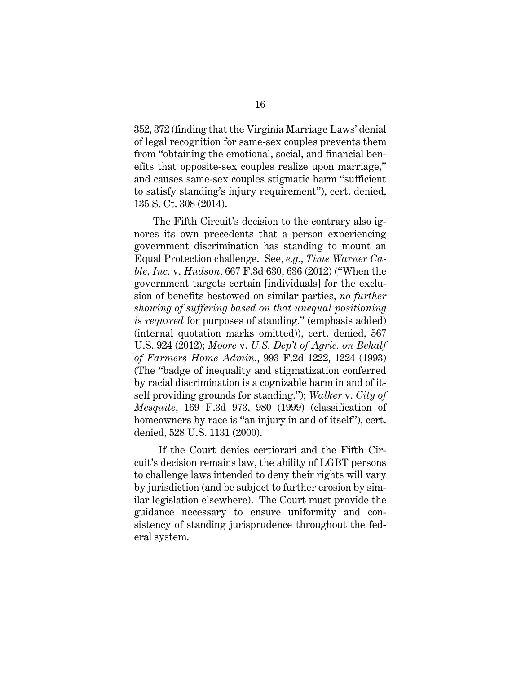352, 372 (finding that the Virginia Marriage Laws' denial of legal recognition for same-sex couples prevents them from "obtaining the emotional, social, and financial benefits that opposite-sex couples realize upon marriage," and causes same-sex couples stigmatic harm "sufficient to satisfy standing's injury requirement"), cert. denied, 135 S. Ct. 308 (2014).

The Fifth Circuit's decision to the contrary also ignores its own precedents that a person experiencing government discrimination has standing to mount an Equal Protection challenge. See, *e.g.*, *Time Warner Cable, Inc.* v. *Hudson*, 667 F.3d 630, 636 (2012) ("When the government targets certain [individuals] for the exclusion of benefits bestowed on similar parties, *no further showing of suffering based on that unequal positioning is required* for purposes of standing." (emphasis added) (internal quotation marks omitted)), cert. denied, 567 U.S. 924 (2012); *Moore* v. *U.S. Dep't of Agric. on Behalf of Farmers Home Admin.*, 993 F.2d 1222, 1224 (1993) (The "badge of inequality and stigmatization conferred by racial discrimination is a cognizable harm in and of itself providing grounds for standing."); *Walker* v. *City of Mesquite*, 169 F.3d 973, 980 (1999) (classification of homeowners by race is "an injury in and of itself"), cert. denied, 528 U.S. 1131 (2000).

 If the Court denies certiorari and the Fifth Circuit's decision remains law, the ability of LGBT persons to challenge laws intended to deny their rights will vary by jurisdiction (and be subject to further erosion by similar legislation elsewhere). The Court must provide the guidance necessary to ensure uniformity and consistency of standing jurisprudence throughout the federal system.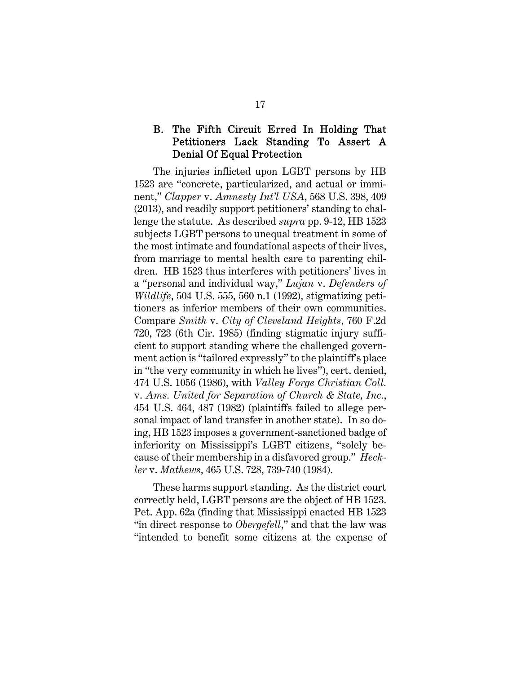## B. The Fifth Circuit Erred In Holding That Petitioners Lack Standing To Assert A Denial Of Equal Protection

The injuries inflicted upon LGBT persons by HB 1523 are "concrete, particularized, and actual or imminent," *Clapper* v. *Amnesty Int'l USA*, 568 U.S. 398, 409 (2013), and readily support petitioners' standing to challenge the statute. As described *supra* pp. 9-12, HB 1523 subjects LGBT persons to unequal treatment in some of the most intimate and foundational aspects of their lives, from marriage to mental health care to parenting children. HB 1523 thus interferes with petitioners' lives in a "personal and individual way," *Lujan* v. *Defenders of Wildlife*, 504 U.S. 555, 560 n.1 (1992), stigmatizing petitioners as inferior members of their own communities. Compare *Smith* v. *City of Cleveland Heights*, 760 F.2d 720, 723 (6th Cir. 1985) (finding stigmatic injury sufficient to support standing where the challenged government action is "tailored expressly" to the plaintiff's place in "the very community in which he lives"), cert. denied, 474 U.S. 1056 (1986), with *Valley Forge Christian Coll.*  v. *Ams. United for Separation of Church & State, Inc.*, 454 U.S. 464, 487 (1982) (plaintiffs failed to allege personal impact of land transfer in another state). In so doing, HB 1523 imposes a government-sanctioned badge of inferiority on Mississippi's LGBT citizens, "solely because of their membership in a disfavored group." *Heckler* v. *Mathews*, 465 U.S. 728, 739-740 (1984).

These harms support standing. As the district court correctly held, LGBT persons are the object of HB 1523. Pet. App. 62a (finding that Mississippi enacted HB 1523 "in direct response to *Obergefell*," and that the law was "intended to benefit some citizens at the expense of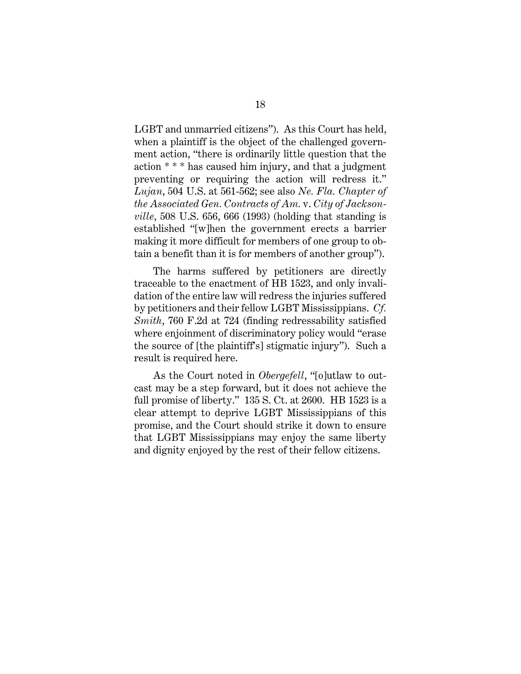LGBT and unmarried citizens"). As this Court has held, when a plaintiff is the object of the challenged government action, "there is ordinarily little question that the action \* \* \* has caused him injury, and that a judgment preventing or requiring the action will redress it." *Lujan*, 504 U.S. at 561-562; see also *Ne. Fla. Chapter of the Associated Gen. Contracts of Am.* v. *City of Jacksonville*, 508 U.S. 656, 666 (1993) (holding that standing is established "[w]hen the government erects a barrier making it more difficult for members of one group to obtain a benefit than it is for members of another group").

The harms suffered by petitioners are directly traceable to the enactment of HB 1523, and only invalidation of the entire law will redress the injuries suffered by petitioners and their fellow LGBT Mississippians. *Cf. Smith*, 760 F.2d at 724 (finding redressability satisfied where enjoinment of discriminatory policy would "erase the source of [the plaintiff's] stigmatic injury"). Such a result is required here.

As the Court noted in *Obergefell*, "[o]utlaw to outcast may be a step forward, but it does not achieve the full promise of liberty." 135 S. Ct. at 2600. HB 1523 is a clear attempt to deprive LGBT Mississippians of this promise, and the Court should strike it down to ensure that LGBT Mississippians may enjoy the same liberty and dignity enjoyed by the rest of their fellow citizens.